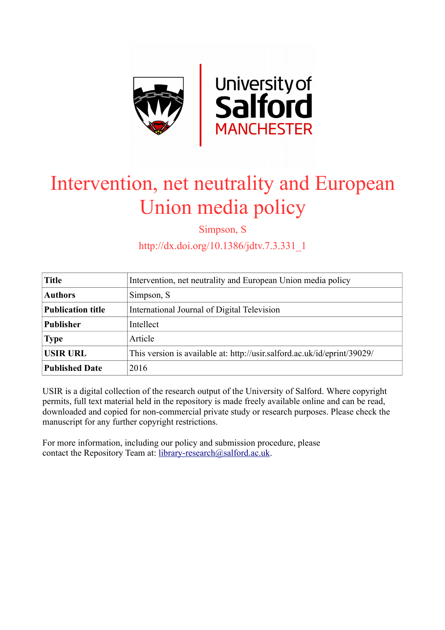

# Intervention, net neutrality and European Union media policy

Simpson, S

http://dx.doi.org/10.1386/jdtv.7.3.331\_1

| <b>Title</b>             | Intervention, net neutrality and European Union media policy             |
|--------------------------|--------------------------------------------------------------------------|
| <b>Authors</b>           | Simpson, S.                                                              |
| <b>Publication title</b> | International Journal of Digital Television                              |
| <b>Publisher</b>         | Intellect                                                                |
| <b>Type</b>              | Article                                                                  |
| <b>USIR URL</b>          | This version is available at: http://usir.salford.ac.uk/id/eprint/39029/ |
| <b>Published Date</b>    | 2016                                                                     |

USIR is a digital collection of the research output of the University of Salford. Where copyright permits, full text material held in the repository is made freely available online and can be read, downloaded and copied for non-commercial private study or research purposes. Please check the manuscript for any further copyright restrictions.

For more information, including our policy and submission procedure, please contact the Repository Team at: [library-research@salford.ac.uk.](mailto:library-research@salford.ac.uk)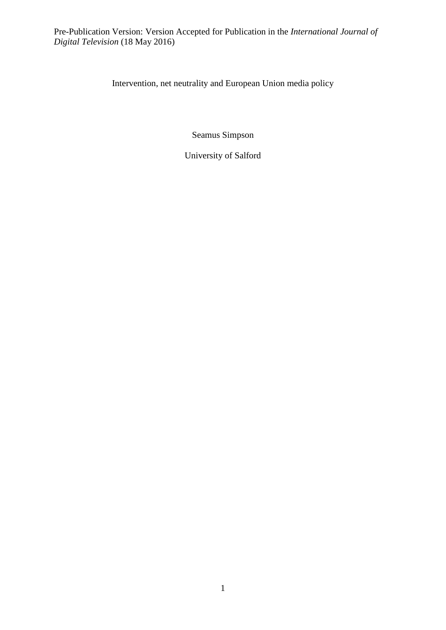Intervention, net neutrality and European Union media policy

Seamus Simpson

University of Salford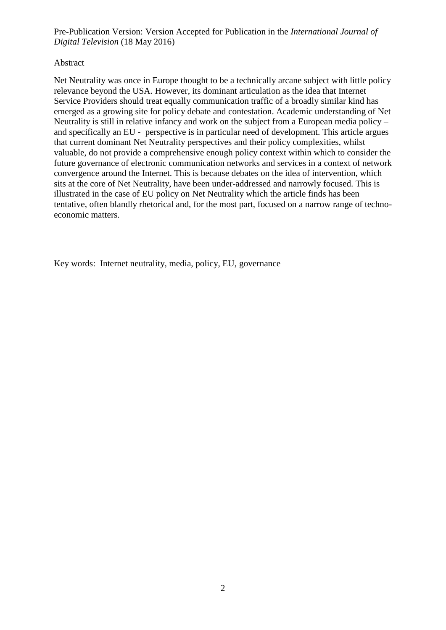#### Abstract

Net Neutrality was once in Europe thought to be a technically arcane subject with little policy relevance beyond the USA. However, its dominant articulation as the idea that Internet Service Providers should treat equally communication traffic of a broadly similar kind has emerged as a growing site for policy debate and contestation. Academic understanding of Net Neutrality is still in relative infancy and work on the subject from a European media policy – and specifically an EU - perspective is in particular need of development. This article argues that current dominant Net Neutrality perspectives and their policy complexities, whilst valuable, do not provide a comprehensive enough policy context within which to consider the future governance of electronic communication networks and services in a context of network convergence around the Internet. This is because debates on the idea of intervention, which sits at the core of Net Neutrality, have been under-addressed and narrowly focused. This is illustrated in the case of EU policy on Net Neutrality which the article finds has been tentative, often blandly rhetorical and, for the most part, focused on a narrow range of technoeconomic matters.

Key words: Internet neutrality, media, policy, EU, governance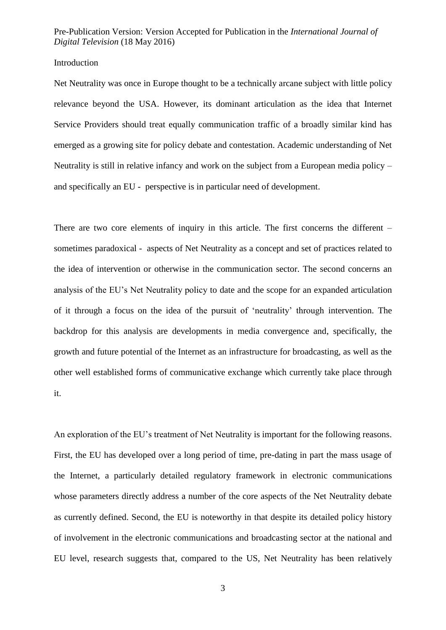#### Introduction

Net Neutrality was once in Europe thought to be a technically arcane subject with little policy relevance beyond the USA. However, its dominant articulation as the idea that Internet Service Providers should treat equally communication traffic of a broadly similar kind has emerged as a growing site for policy debate and contestation. Academic understanding of Net Neutrality is still in relative infancy and work on the subject from a European media policy – and specifically an EU - perspective is in particular need of development.

There are two core elements of inquiry in this article. The first concerns the different – sometimes paradoxical - aspects of Net Neutrality as a concept and set of practices related to the idea of intervention or otherwise in the communication sector. The second concerns an analysis of the EU's Net Neutrality policy to date and the scope for an expanded articulation of it through a focus on the idea of the pursuit of 'neutrality' through intervention. The backdrop for this analysis are developments in media convergence and, specifically, the growth and future potential of the Internet as an infrastructure for broadcasting, as well as the other well established forms of communicative exchange which currently take place through it.

An exploration of the EU's treatment of Net Neutrality is important for the following reasons. First, the EU has developed over a long period of time, pre-dating in part the mass usage of the Internet, a particularly detailed regulatory framework in electronic communications whose parameters directly address a number of the core aspects of the Net Neutrality debate as currently defined. Second, the EU is noteworthy in that despite its detailed policy history of involvement in the electronic communications and broadcasting sector at the national and EU level, research suggests that, compared to the US, Net Neutrality has been relatively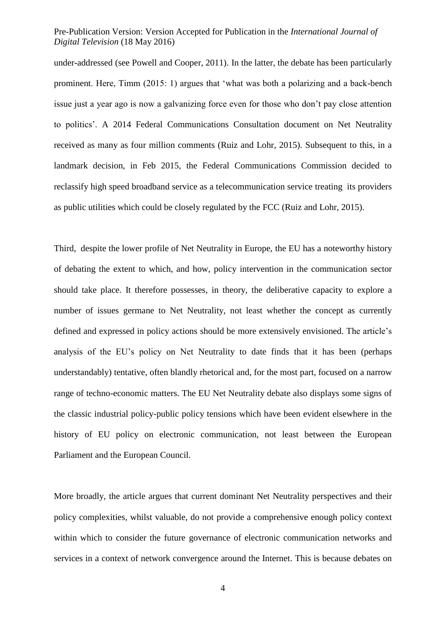under-addressed (see Powell and Cooper, 2011). In the latter, the debate has been particularly prominent. Here, Timm (2015: 1) argues that 'what was both a polarizing and a back-bench issue just a year ago is now a galvanizing force even for those who don't pay close attention to politics'. A 2014 Federal Communications Consultation document on Net Neutrality received as many as four million comments (Ruiz and Lohr, 2015). Subsequent to this, in a landmark decision, in Feb 2015, the Federal Communications Commission decided to reclassify high speed broadband service as a telecommunication service treating its providers as public utilities which could be closely regulated by the FCC (Ruiz and Lohr, 2015).

Third, despite the lower profile of Net Neutrality in Europe, the EU has a noteworthy history of debating the extent to which, and how, policy intervention in the communication sector should take place. It therefore possesses, in theory, the deliberative capacity to explore a number of issues germane to Net Neutrality, not least whether the concept as currently defined and expressed in policy actions should be more extensively envisioned. The article's analysis of the EU's policy on Net Neutrality to date finds that it has been (perhaps understandably) tentative, often blandly rhetorical and, for the most part, focused on a narrow range of techno-economic matters. The EU Net Neutrality debate also displays some signs of the classic industrial policy-public policy tensions which have been evident elsewhere in the history of EU policy on electronic communication, not least between the European Parliament and the European Council.

More broadly, the article argues that current dominant Net Neutrality perspectives and their policy complexities, whilst valuable, do not provide a comprehensive enough policy context within which to consider the future governance of electronic communication networks and services in a context of network convergence around the Internet. This is because debates on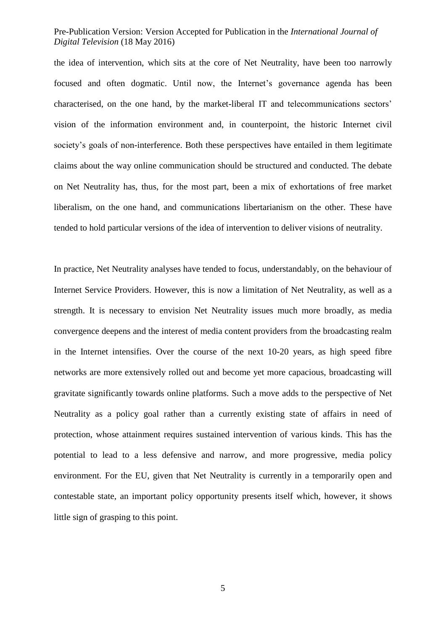the idea of intervention, which sits at the core of Net Neutrality, have been too narrowly focused and often dogmatic. Until now, the Internet's governance agenda has been characterised, on the one hand, by the market-liberal IT and telecommunications sectors' vision of the information environment and, in counterpoint, the historic Internet civil society's goals of non-interference. Both these perspectives have entailed in them legitimate claims about the way online communication should be structured and conducted. The debate on Net Neutrality has, thus, for the most part, been a mix of exhortations of free market liberalism, on the one hand, and communications libertarianism on the other. These have tended to hold particular versions of the idea of intervention to deliver visions of neutrality.

In practice, Net Neutrality analyses have tended to focus, understandably, on the behaviour of Internet Service Providers. However, this is now a limitation of Net Neutrality, as well as a strength. It is necessary to envision Net Neutrality issues much more broadly, as media convergence deepens and the interest of media content providers from the broadcasting realm in the Internet intensifies. Over the course of the next 10-20 years, as high speed fibre networks are more extensively rolled out and become yet more capacious, broadcasting will gravitate significantly towards online platforms. Such a move adds to the perspective of Net Neutrality as a policy goal rather than a currently existing state of affairs in need of protection, whose attainment requires sustained intervention of various kinds. This has the potential to lead to a less defensive and narrow, and more progressive, media policy environment. For the EU, given that Net Neutrality is currently in a temporarily open and contestable state, an important policy opportunity presents itself which, however, it shows little sign of grasping to this point.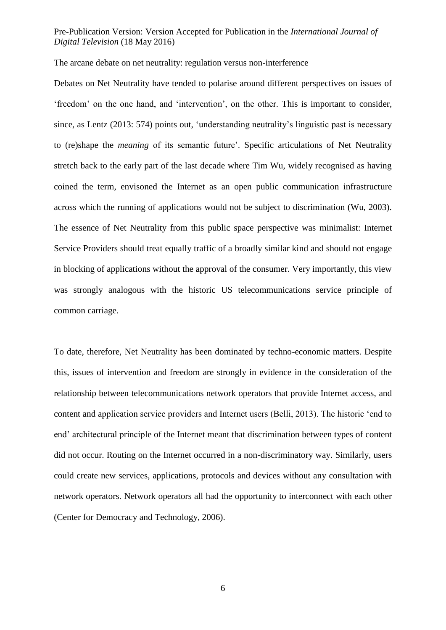The arcane debate on net neutrality: regulation versus non-interference

Debates on Net Neutrality have tended to polarise around different perspectives on issues of 'freedom' on the one hand, and 'intervention', on the other. This is important to consider, since, as Lentz (2013: 574) points out, 'understanding neutrality's linguistic past is necessary to (re)shape the *meaning* of its semantic future'. Specific articulations of Net Neutrality stretch back to the early part of the last decade where Tim Wu, widely recognised as having coined the term, envisoned the Internet as an open public communication infrastructure across which the running of applications would not be subject to discrimination (Wu, 2003). The essence of Net Neutrality from this public space perspective was minimalist: Internet Service Providers should treat equally traffic of a broadly similar kind and should not engage in blocking of applications without the approval of the consumer. Very importantly, this view was strongly analogous with the historic US telecommunications service principle of common carriage.

To date, therefore, Net Neutrality has been dominated by techno-economic matters. Despite this, issues of intervention and freedom are strongly in evidence in the consideration of the relationship between telecommunications network operators that provide Internet access, and content and application service providers and Internet users (Belli, 2013). The historic 'end to end' architectural principle of the Internet meant that discrimination between types of content did not occur. Routing on the Internet occurred in a non-discriminatory way. Similarly, users could create new services, applications, protocols and devices without any consultation with network operators. Network operators all had the opportunity to interconnect with each other (Center for Democracy and Technology, 2006).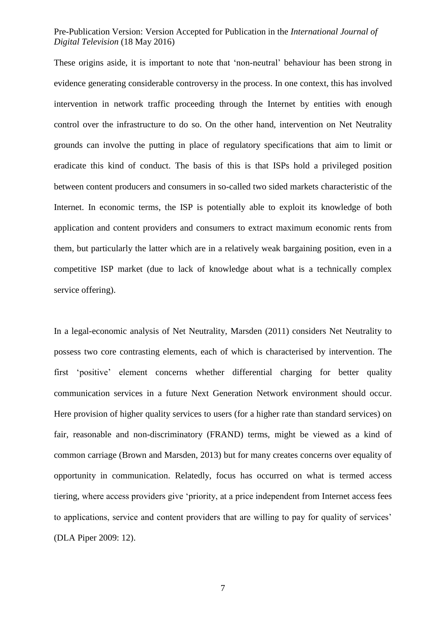These origins aside, it is important to note that 'non-neutral' behaviour has been strong in evidence generating considerable controversy in the process. In one context, this has involved intervention in network traffic proceeding through the Internet by entities with enough control over the infrastructure to do so. On the other hand, intervention on Net Neutrality grounds can involve the putting in place of regulatory specifications that aim to limit or eradicate this kind of conduct. The basis of this is that ISPs hold a privileged position between content producers and consumers in so-called two sided markets characteristic of the Internet. In economic terms, the ISP is potentially able to exploit its knowledge of both application and content providers and consumers to extract maximum economic rents from them, but particularly the latter which are in a relatively weak bargaining position, even in a competitive ISP market (due to lack of knowledge about what is a technically complex service offering).

In a legal-economic analysis of Net Neutrality, Marsden (2011) considers Net Neutrality to possess two core contrasting elements, each of which is characterised by intervention. The first 'positive' element concerns whether differential charging for better quality communication services in a future Next Generation Network environment should occur. Here provision of higher quality services to users (for a higher rate than standard services) on fair, reasonable and non-discriminatory (FRAND) terms, might be viewed as a kind of common carriage (Brown and Marsden, 2013) but for many creates concerns over equality of opportunity in communication. Relatedly, focus has occurred on what is termed access tiering, where access providers give 'priority, at a price independent from Internet access fees to applications, service and content providers that are willing to pay for quality of services' (DLA Piper 2009: 12).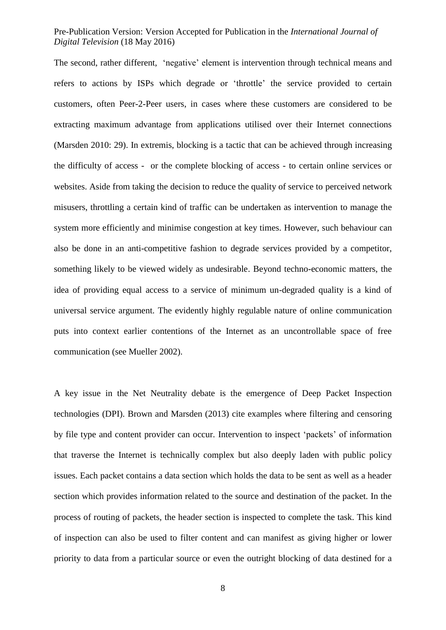The second, rather different, 'negative' element is intervention through technical means and refers to actions by ISPs which degrade or 'throttle' the service provided to certain customers, often Peer-2-Peer users, in cases where these customers are considered to be extracting maximum advantage from applications utilised over their Internet connections (Marsden 2010: 29). In extremis, blocking is a tactic that can be achieved through increasing the difficulty of access - or the complete blocking of access - to certain online services or websites. Aside from taking the decision to reduce the quality of service to perceived network misusers, throttling a certain kind of traffic can be undertaken as intervention to manage the system more efficiently and minimise congestion at key times. However, such behaviour can also be done in an anti-competitive fashion to degrade services provided by a competitor, something likely to be viewed widely as undesirable. Beyond techno-economic matters, the idea of providing equal access to a service of minimum un-degraded quality is a kind of universal service argument. The evidently highly regulable nature of online communication puts into context earlier contentions of the Internet as an uncontrollable space of free communication (see Mueller 2002).

A key issue in the Net Neutrality debate is the emergence of Deep Packet Inspection technologies (DPI). Brown and Marsden (2013) cite examples where filtering and censoring by file type and content provider can occur. Intervention to inspect 'packets' of information that traverse the Internet is technically complex but also deeply laden with public policy issues. Each packet contains a data section which holds the data to be sent as well as a header section which provides information related to the source and destination of the packet. In the process of routing of packets, the header section is inspected to complete the task. This kind of inspection can also be used to filter content and can manifest as giving higher or lower priority to data from a particular source or even the outright blocking of data destined for a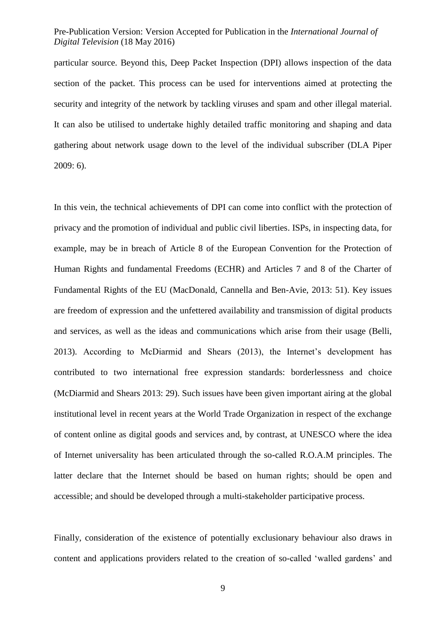particular source. Beyond this, Deep Packet Inspection (DPI) allows inspection of the data section of the packet. This process can be used for interventions aimed at protecting the security and integrity of the network by tackling viruses and spam and other illegal material. It can also be utilised to undertake highly detailed traffic monitoring and shaping and data gathering about network usage down to the level of the individual subscriber (DLA Piper 2009: 6).

In this vein, the technical achievements of DPI can come into conflict with the protection of privacy and the promotion of individual and public civil liberties. ISPs, in inspecting data, for example, may be in breach of Article 8 of the European Convention for the Protection of Human Rights and fundamental Freedoms (ECHR) and Articles 7 and 8 of the Charter of Fundamental Rights of the EU (MacDonald, Cannella and Ben-Avie, 2013: 51). Key issues are freedom of expression and the unfettered availability and transmission of digital products and services, as well as the ideas and communications which arise from their usage (Belli, 2013). According to McDiarmid and Shears (2013), the Internet's development has contributed to two international free expression standards: borderlessness and choice (McDiarmid and Shears 2013: 29). Such issues have been given important airing at the global institutional level in recent years at the World Trade Organization in respect of the exchange of content online as digital goods and services and, by contrast, at UNESCO where the idea of Internet universality has been articulated through the so-called R.O.A.M principles. The latter declare that the Internet should be based on human rights; should be open and accessible; and should be developed through a multi-stakeholder participative process.

Finally, consideration of the existence of potentially exclusionary behaviour also draws in content and applications providers related to the creation of so-called 'walled gardens' and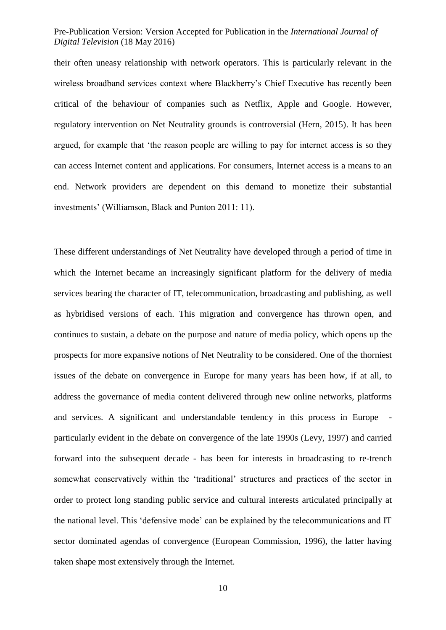their often uneasy relationship with network operators. This is particularly relevant in the wireless broadband services context where Blackberry's Chief Executive has recently been critical of the behaviour of companies such as Netflix, Apple and Google. However, regulatory intervention on Net Neutrality grounds is controversial (Hern, 2015). It has been argued, for example that 'the reason people are willing to pay for internet access is so they can access Internet content and applications. For consumers, Internet access is a means to an end. Network providers are dependent on this demand to monetize their substantial investments' (Williamson, Black and Punton 2011: 11).

These different understandings of Net Neutrality have developed through a period of time in which the Internet became an increasingly significant platform for the delivery of media services bearing the character of IT, telecommunication, broadcasting and publishing, as well as hybridised versions of each. This migration and convergence has thrown open, and continues to sustain, a debate on the purpose and nature of media policy, which opens up the prospects for more expansive notions of Net Neutrality to be considered. One of the thorniest issues of the debate on convergence in Europe for many years has been how, if at all, to address the governance of media content delivered through new online networks, platforms and services. A significant and understandable tendency in this process in Europe particularly evident in the debate on convergence of the late 1990s (Levy, 1997) and carried forward into the subsequent decade - has been for interests in broadcasting to re-trench somewhat conservatively within the 'traditional' structures and practices of the sector in order to protect long standing public service and cultural interests articulated principally at the national level. This 'defensive mode' can be explained by the telecommunications and IT sector dominated agendas of convergence (European Commission, 1996), the latter having taken shape most extensively through the Internet.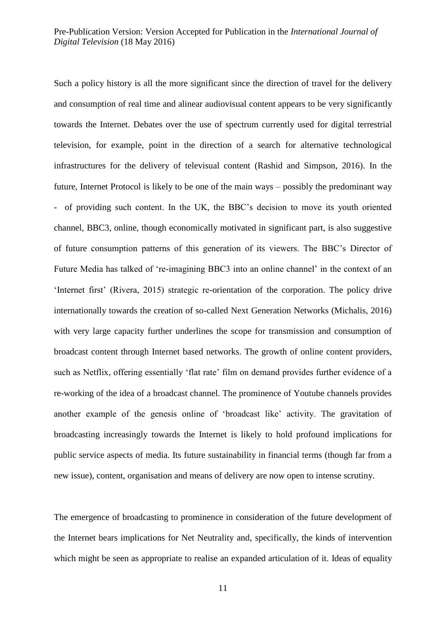Such a policy history is all the more significant since the direction of travel for the delivery and consumption of real time and alinear audiovisual content appears to be very significantly towards the Internet. Debates over the use of spectrum currently used for digital terrestrial television, for example, point in the direction of a search for alternative technological infrastructures for the delivery of televisual content (Rashid and Simpson, 2016). In the future, Internet Protocol is likely to be one of the main ways – possibly the predominant way - of providing such content. In the UK, the BBC's decision to move its youth oriented channel, BBC3, online, though economically motivated in significant part, is also suggestive of future consumption patterns of this generation of its viewers. The BBC's Director of Future Media has talked of 're-imagining BBC3 into an online channel' in the context of an 'Internet first' (Rivera, 2015) strategic re-orientation of the corporation. The policy drive internationally towards the creation of so-called Next Generation Networks (Michalis, 2016) with very large capacity further underlines the scope for transmission and consumption of broadcast content through Internet based networks. The growth of online content providers, such as Netflix, offering essentially 'flat rate' film on demand provides further evidence of a re-working of the idea of a broadcast channel. The prominence of Youtube channels provides another example of the genesis online of 'broadcast like' activity. The gravitation of broadcasting increasingly towards the Internet is likely to hold profound implications for public service aspects of media. Its future sustainability in financial terms (though far from a new issue), content, organisation and means of delivery are now open to intense scrutiny.

The emergence of broadcasting to prominence in consideration of the future development of the Internet bears implications for Net Neutrality and, specifically, the kinds of intervention which might be seen as appropriate to realise an expanded articulation of it. Ideas of equality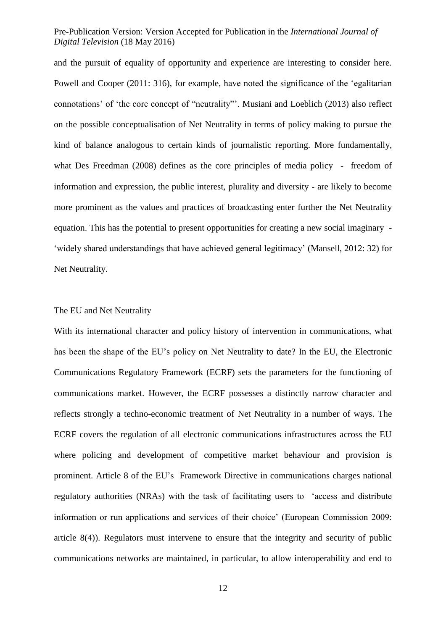and the pursuit of equality of opportunity and experience are interesting to consider here. Powell and Cooper (2011: 316), for example, have noted the significance of the 'egalitarian connotations' of 'the core concept of "neutrality"'. Musiani and Loeblich (2013) also reflect on the possible conceptualisation of Net Neutrality in terms of policy making to pursue the kind of balance analogous to certain kinds of journalistic reporting. More fundamentally, what Des Freedman (2008) defines as the core principles of media policy - freedom of information and expression, the public interest, plurality and diversity - are likely to become more prominent as the values and practices of broadcasting enter further the Net Neutrality equation. This has the potential to present opportunities for creating a new social imaginary - 'widely shared understandings that have achieved general legitimacy' (Mansell, 2012: 32) for Net Neutrality.

#### The EU and Net Neutrality

With its international character and policy history of intervention in communications, what has been the shape of the EU's policy on Net Neutrality to date? In the EU, the Electronic Communications Regulatory Framework (ECRF) sets the parameters for the functioning of communications market. However, the ECRF possesses a distinctly narrow character and reflects strongly a techno-economic treatment of Net Neutrality in a number of ways. The ECRF covers the regulation of all electronic communications infrastructures across the EU where policing and development of competitive market behaviour and provision is prominent. Article 8 of the EU's Framework Directive in communications charges national regulatory authorities (NRAs) with the task of facilitating users to 'access and distribute information or run applications and services of their choice' (European Commission 2009: article 8(4)). Regulators must intervene to ensure that the integrity and security of public communications networks are maintained, in particular, to allow interoperability and end to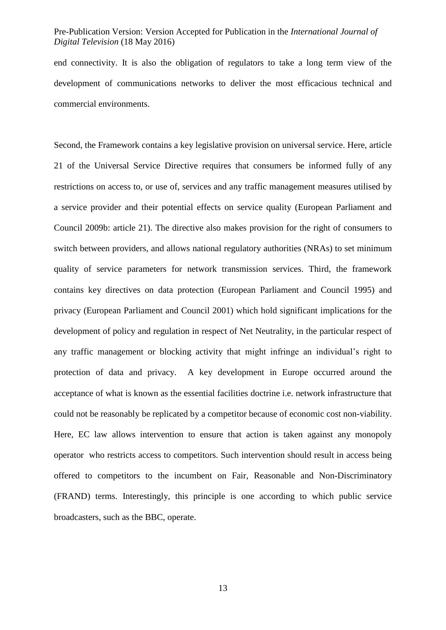end connectivity. It is also the obligation of regulators to take a long term view of the development of communications networks to deliver the most efficacious technical and commercial environments.

Second, the Framework contains a key legislative provision on universal service. Here, article 21 of the Universal Service Directive requires that consumers be informed fully of any restrictions on access to, or use of, services and any traffic management measures utilised by a service provider and their potential effects on service quality (European Parliament and Council 2009b: article 21). The directive also makes provision for the right of consumers to switch between providers, and allows national regulatory authorities (NRAs) to set minimum quality of service parameters for network transmission services. Third, the framework contains key directives on data protection (European Parliament and Council 1995) and privacy (European Parliament and Council 2001) which hold significant implications for the development of policy and regulation in respect of Net Neutrality, in the particular respect of any traffic management or blocking activity that might infringe an individual's right to protection of data and privacy. A key development in Europe occurred around the acceptance of what is known as the essential facilities doctrine i.e. network infrastructure that could not be reasonably be replicated by a competitor because of economic cost non-viability. Here, EC law allows intervention to ensure that action is taken against any monopoly operator who restricts access to competitors. Such intervention should result in access being offered to competitors to the incumbent on Fair, Reasonable and Non-Discriminatory (FRAND) terms. Interestingly, this principle is one according to which public service broadcasters, such as the BBC, operate.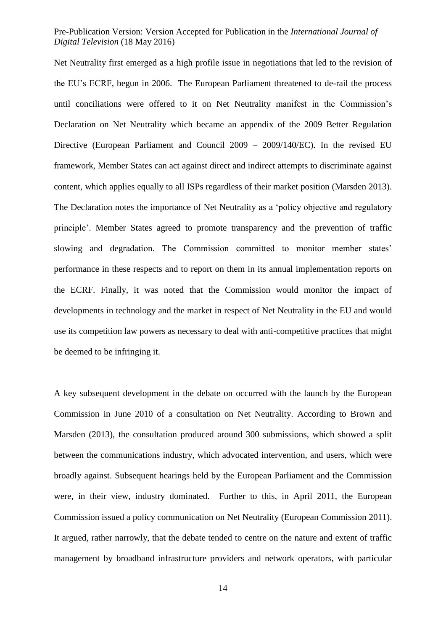Net Neutrality first emerged as a high profile issue in negotiations that led to the revision of the EU's ECRF, begun in 2006. The European Parliament threatened to de-rail the process until conciliations were offered to it on Net Neutrality manifest in the Commission's Declaration on Net Neutrality which became an appendix of the 2009 Better Regulation Directive (European Parliament and Council 2009 – 2009/140/EC). In the revised EU framework, Member States can act against direct and indirect attempts to discriminate against content, which applies equally to all ISPs regardless of their market position (Marsden 2013). The Declaration notes the importance of Net Neutrality as a 'policy objective and regulatory principle'. Member States agreed to promote transparency and the prevention of traffic slowing and degradation. The Commission committed to monitor member states' performance in these respects and to report on them in its annual implementation reports on the ECRF. Finally, it was noted that the Commission would monitor the impact of developments in technology and the market in respect of Net Neutrality in the EU and would use its competition law powers as necessary to deal with anti-competitive practices that might be deemed to be infringing it.

A key subsequent development in the debate on occurred with the launch by the European Commission in June 2010 of a consultation on Net Neutrality. According to Brown and Marsden (2013), the consultation produced around 300 submissions, which showed a split between the communications industry, which advocated intervention, and users, which were broadly against. Subsequent hearings held by the European Parliament and the Commission were, in their view, industry dominated. Further to this, in April 2011, the European Commission issued a policy communication on Net Neutrality (European Commission 2011). It argued, rather narrowly, that the debate tended to centre on the nature and extent of traffic management by broadband infrastructure providers and network operators, with particular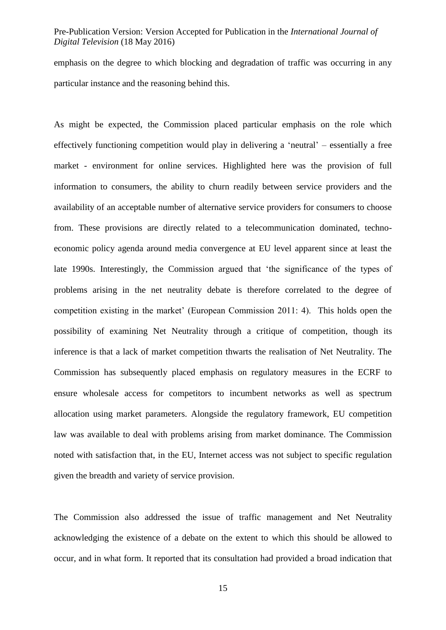emphasis on the degree to which blocking and degradation of traffic was occurring in any particular instance and the reasoning behind this.

As might be expected, the Commission placed particular emphasis on the role which effectively functioning competition would play in delivering a 'neutral' – essentially a free market - environment for online services. Highlighted here was the provision of full information to consumers, the ability to churn readily between service providers and the availability of an acceptable number of alternative service providers for consumers to choose from. These provisions are directly related to a telecommunication dominated, technoeconomic policy agenda around media convergence at EU level apparent since at least the late 1990s. Interestingly, the Commission argued that 'the significance of the types of problems arising in the net neutrality debate is therefore correlated to the degree of competition existing in the market' (European Commission 2011: 4). This holds open the possibility of examining Net Neutrality through a critique of competition, though its inference is that a lack of market competition thwarts the realisation of Net Neutrality. The Commission has subsequently placed emphasis on regulatory measures in the ECRF to ensure wholesale access for competitors to incumbent networks as well as spectrum allocation using market parameters. Alongside the regulatory framework, EU competition law was available to deal with problems arising from market dominance. The Commission noted with satisfaction that, in the EU, Internet access was not subject to specific regulation given the breadth and variety of service provision.

The Commission also addressed the issue of traffic management and Net Neutrality acknowledging the existence of a debate on the extent to which this should be allowed to occur, and in what form. It reported that its consultation had provided a broad indication that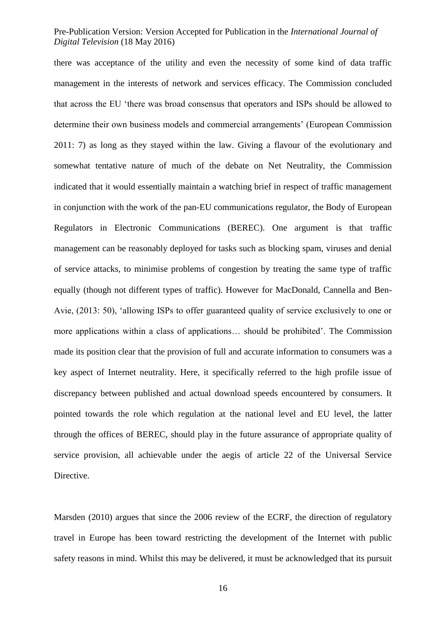there was acceptance of the utility and even the necessity of some kind of data traffic management in the interests of network and services efficacy. The Commission concluded that across the EU 'there was broad consensus that operators and ISPs should be allowed to determine their own business models and commercial arrangements' (European Commission 2011: 7) as long as they stayed within the law. Giving a flavour of the evolutionary and somewhat tentative nature of much of the debate on Net Neutrality, the Commission indicated that it would essentially maintain a watching brief in respect of traffic management in conjunction with the work of the pan-EU communications regulator, the Body of European Regulators in Electronic Communications (BEREC). One argument is that traffic management can be reasonably deployed for tasks such as blocking spam, viruses and denial of service attacks, to minimise problems of congestion by treating the same type of traffic equally (though not different types of traffic). However for MacDonald, Cannella and Ben-Avie, (2013: 50), 'allowing ISPs to offer guaranteed quality of service exclusively to one or more applications within a class of applications… should be prohibited'. The Commission made its position clear that the provision of full and accurate information to consumers was a key aspect of Internet neutrality. Here, it specifically referred to the high profile issue of discrepancy between published and actual download speeds encountered by consumers. It pointed towards the role which regulation at the national level and EU level, the latter through the offices of BEREC, should play in the future assurance of appropriate quality of service provision, all achievable under the aegis of article 22 of the Universal Service Directive.

Marsden (2010) argues that since the 2006 review of the ECRF, the direction of regulatory travel in Europe has been toward restricting the development of the Internet with public safety reasons in mind. Whilst this may be delivered, it must be acknowledged that its pursuit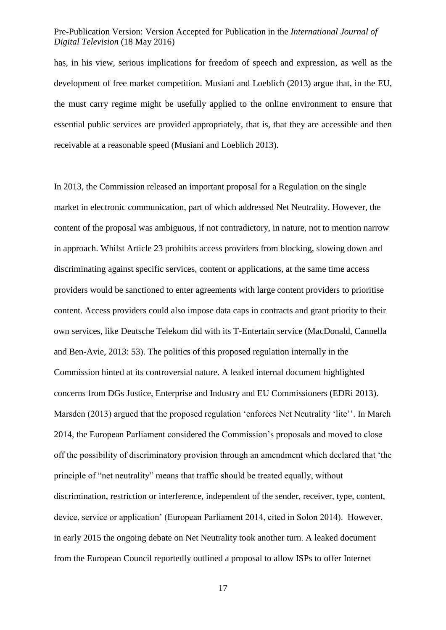has, in his view, serious implications for freedom of speech and expression, as well as the development of free market competition. Musiani and Loeblich (2013) argue that, in the EU, the must carry regime might be usefully applied to the online environment to ensure that essential public services are provided appropriately, that is, that they are accessible and then receivable at a reasonable speed (Musiani and Loeblich 2013).

In 2013, the Commission released an important proposal for a Regulation on the single market in electronic communication, part of which addressed Net Neutrality. However, the content of the proposal was ambiguous, if not contradictory, in nature, not to mention narrow in approach. Whilst Article 23 prohibits access providers from blocking, slowing down and discriminating against specific services, content or applications, at the same time access providers would be sanctioned to enter agreements with large content providers to prioritise content. Access providers could also impose data caps in contracts and grant priority to their own services, like Deutsche Telekom did with its T-Entertain service (MacDonald, Cannella and Ben-Avie, 2013: 53). The politics of this proposed regulation internally in the Commission hinted at its controversial nature. A leaked internal document highlighted concerns from DGs Justice, Enterprise and Industry and EU Commissioners (EDRi 2013). Marsden (2013) argued that the proposed regulation 'enforces Net Neutrality 'lite''. In March 2014, the European Parliament considered the Commission's proposals and moved to close off the possibility of discriminatory provision through an amendment which declared that 'the principle of "net neutrality" means that traffic should be treated equally, without discrimination, restriction or interference, independent of the sender, receiver, type, content, device, service or application' (European Parliament 2014, cited in Solon 2014). However, in early 2015 the ongoing debate on Net Neutrality took another turn. A leaked document from the European Council reportedly outlined a proposal to allow ISPs to offer Internet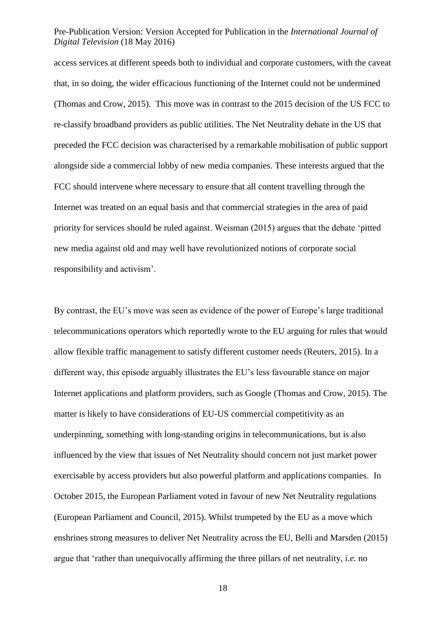access services at different speeds both to individual and corporate customers, with the caveat that, in so doing, the wider efficacious functioning of the Internet could not be undermined (Thomas and Crow, 2015). This move was in contrast to the 2015 decision of the US FCC to re-classify broadband providers as public utilities. The Net Neutrality debate in the US that preceded the FCC decision was characterised by a remarkable mobilisation of public support alongside side a commercial lobby of new media companies. These interests argued that the FCC should intervene where necessary to ensure that all content travelling through the Internet was treated on an equal basis and that commercial strategies in the area of paid priority for services should be ruled against. Weisman (2015) argues that the debate 'pitted new media against old and may well have revolutionized notions of corporate social responsibility and activism'.

By contrast, the EU's move was seen as evidence of the power of Europe's large traditional telecommunications operators which reportedly wrote to the EU arguing for rules that would allow flexible traffic management to satisfy different customer needs (Reuters, 2015). In a different way, this episode arguably illustrates the EU's less favourable stance on major Internet applications and platform providers, such as Google (Thomas and Crow, 2015). The matter is likely to have considerations of EU-US commercial competitivity as an underpinning, something with long-standing origins in telecommunications, but is also influenced by the view that issues of Net Neutrality should concern not just market power exercisable by access providers but also powerful platform and applications companies. In October 2015, the European Parliament voted in favour of new Net Neutrality regulations (European Parliament and Council, 2015). Whilst trumpeted by the EU as a move which enshrines strong measures to deliver Net Neutrality across the EU, Belli and Marsden (2015) argue that 'rather than unequivocally affirming the three pillars of net neutrality, *i.e.* no

18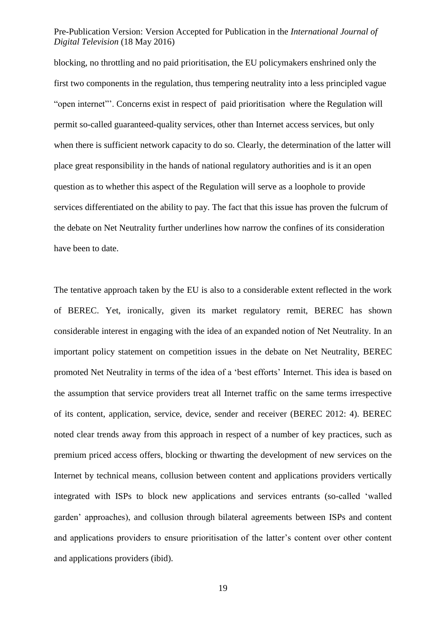blocking, no throttling and no paid prioritisation, the EU policymakers enshrined only the first two components in the regulation, thus tempering neutrality into a less principled vague "open internet"'. Concerns exist in respect of paid prioritisation where the Regulation will permit so-called guaranteed-quality services, other than Internet access services, but only when there is sufficient network capacity to do so. Clearly, the determination of the latter will place great responsibility in the hands of national regulatory authorities and is it an open question as to whether this aspect of the Regulation will serve as a loophole to provide services differentiated on the ability to pay. The fact that this issue has proven the fulcrum of the debate on Net Neutrality further underlines how narrow the confines of its consideration have been to date.

The tentative approach taken by the EU is also to a considerable extent reflected in the work of BEREC. Yet, ironically, given its market regulatory remit, BEREC has shown considerable interest in engaging with the idea of an expanded notion of Net Neutrality. In an important policy statement on competition issues in the debate on Net Neutrality, BEREC promoted Net Neutrality in terms of the idea of a 'best efforts' Internet. This idea is based on the assumption that service providers treat all Internet traffic on the same terms irrespective of its content, application, service, device, sender and receiver (BEREC 2012: 4). BEREC noted clear trends away from this approach in respect of a number of key practices, such as premium priced access offers, blocking or thwarting the development of new services on the Internet by technical means, collusion between content and applications providers vertically integrated with ISPs to block new applications and services entrants (so-called 'walled garden' approaches), and collusion through bilateral agreements between ISPs and content and applications providers to ensure prioritisation of the latter's content over other content and applications providers (ibid).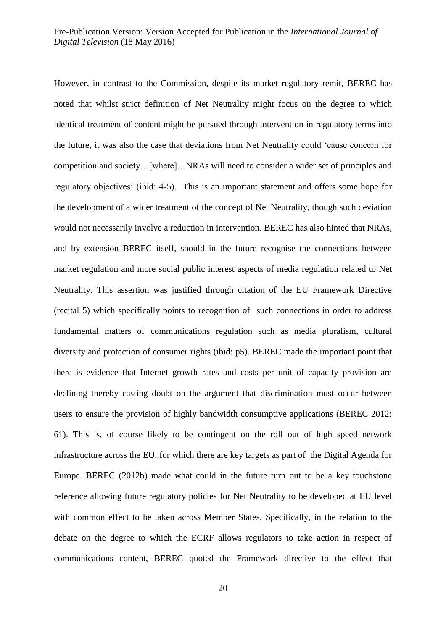However, in contrast to the Commission, despite its market regulatory remit, BEREC has noted that whilst strict definition of Net Neutrality might focus on the degree to which identical treatment of content might be pursued through intervention in regulatory terms into the future, it was also the case that deviations from Net Neutrality could 'cause concern for competition and society…[where]…NRAs will need to consider a wider set of principles and regulatory objectives' (ibid: 4-5). This is an important statement and offers some hope for the development of a wider treatment of the concept of Net Neutrality, though such deviation would not necessarily involve a reduction in intervention. BEREC has also hinted that NRAs, and by extension BEREC itself, should in the future recognise the connections between market regulation and more social public interest aspects of media regulation related to Net Neutrality. This assertion was justified through citation of the EU Framework Directive (recital 5) which specifically points to recognition of such connections in order to address fundamental matters of communications regulation such as media pluralism, cultural diversity and protection of consumer rights (ibid: p5). BEREC made the important point that there is evidence that Internet growth rates and costs per unit of capacity provision are declining thereby casting doubt on the argument that discrimination must occur between users to ensure the provision of highly bandwidth consumptive applications (BEREC 2012: 61). This is, of course likely to be contingent on the roll out of high speed network infrastructure across the EU, for which there are key targets as part of the Digital Agenda for Europe. BEREC (2012b) made what could in the future turn out to be a key touchstone reference allowing future regulatory policies for Net Neutrality to be developed at EU level with common effect to be taken across Member States. Specifically, in the relation to the debate on the degree to which the ECRF allows regulators to take action in respect of communications content, BEREC quoted the Framework directive to the effect that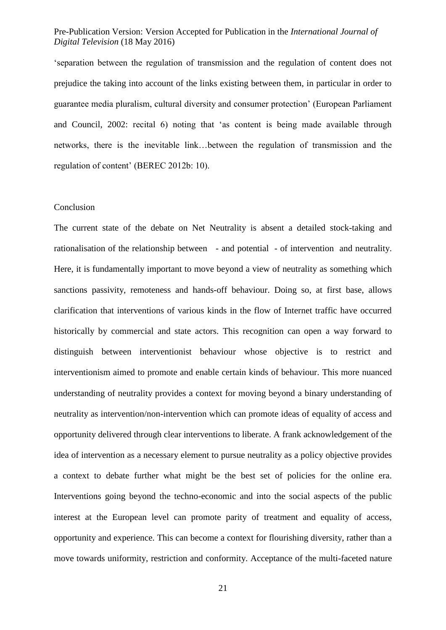'separation between the regulation of transmission and the regulation of content does not prejudice the taking into account of the links existing between them, in particular in order to guarantee media pluralism, cultural diversity and consumer protection' (European Parliament and Council, 2002: recital 6) noting that 'as content is being made available through networks, there is the inevitable link…between the regulation of transmission and the regulation of content' (BEREC 2012b: 10).

#### Conclusion

The current state of the debate on Net Neutrality is absent a detailed stock-taking and rationalisation of the relationship between - and potential - of intervention and neutrality. Here, it is fundamentally important to move beyond a view of neutrality as something which sanctions passivity, remoteness and hands-off behaviour. Doing so, at first base, allows clarification that interventions of various kinds in the flow of Internet traffic have occurred historically by commercial and state actors. This recognition can open a way forward to distinguish between interventionist behaviour whose objective is to restrict and interventionism aimed to promote and enable certain kinds of behaviour. This more nuanced understanding of neutrality provides a context for moving beyond a binary understanding of neutrality as intervention/non-intervention which can promote ideas of equality of access and opportunity delivered through clear interventions to liberate. A frank acknowledgement of the idea of intervention as a necessary element to pursue neutrality as a policy objective provides a context to debate further what might be the best set of policies for the online era. Interventions going beyond the techno-economic and into the social aspects of the public interest at the European level can promote parity of treatment and equality of access, opportunity and experience. This can become a context for flourishing diversity, rather than a move towards uniformity, restriction and conformity. Acceptance of the multi-faceted nature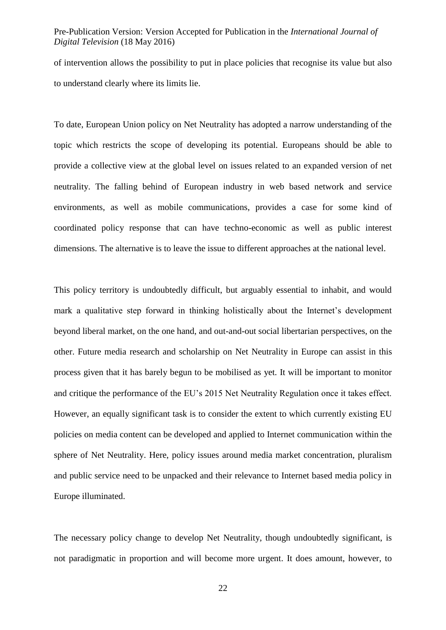of intervention allows the possibility to put in place policies that recognise its value but also to understand clearly where its limits lie.

To date, European Union policy on Net Neutrality has adopted a narrow understanding of the topic which restricts the scope of developing its potential. Europeans should be able to provide a collective view at the global level on issues related to an expanded version of net neutrality. The falling behind of European industry in web based network and service environments, as well as mobile communications, provides a case for some kind of coordinated policy response that can have techno-economic as well as public interest dimensions. The alternative is to leave the issue to different approaches at the national level.

This policy territory is undoubtedly difficult, but arguably essential to inhabit, and would mark a qualitative step forward in thinking holistically about the Internet's development beyond liberal market, on the one hand, and out-and-out social libertarian perspectives, on the other. Future media research and scholarship on Net Neutrality in Europe can assist in this process given that it has barely begun to be mobilised as yet. It will be important to monitor and critique the performance of the EU's 2015 Net Neutrality Regulation once it takes effect. However, an equally significant task is to consider the extent to which currently existing EU policies on media content can be developed and applied to Internet communication within the sphere of Net Neutrality. Here, policy issues around media market concentration, pluralism and public service need to be unpacked and their relevance to Internet based media policy in Europe illuminated.

The necessary policy change to develop Net Neutrality, though undoubtedly significant, is not paradigmatic in proportion and will become more urgent. It does amount, however, to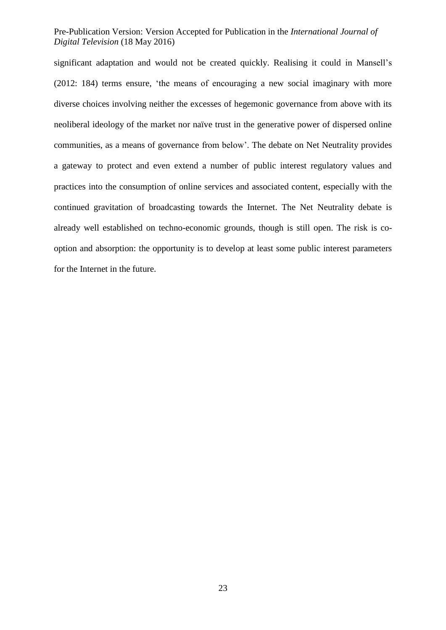significant adaptation and would not be created quickly. Realising it could in Mansell's (2012: 184) terms ensure, 'the means of encouraging a new social imaginary with more diverse choices involving neither the excesses of hegemonic governance from above with its neoliberal ideology of the market nor naïve trust in the generative power of dispersed online communities, as a means of governance from below'. The debate on Net Neutrality provides a gateway to protect and even extend a number of public interest regulatory values and practices into the consumption of online services and associated content, especially with the continued gravitation of broadcasting towards the Internet. The Net Neutrality debate is already well established on techno-economic grounds, though is still open. The risk is cooption and absorption: the opportunity is to develop at least some public interest parameters for the Internet in the future.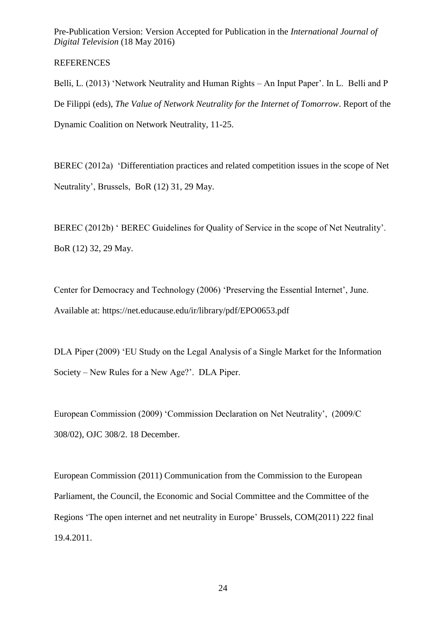## REFERENCES

Belli, L. (2013) 'Network Neutrality and Human Rights – An Input Paper'. In L. Belli and P De Filippi (eds), *The Value of Network Neutrality for the Internet of Tomorrow*. Report of the Dynamic Coalition on Network Neutrality, 11-25.

BEREC (2012a) 'Differentiation practices and related competition issues in the scope of Net Neutrality', Brussels, BoR (12) 31, 29 May.

BEREC (2012b) ' BEREC Guidelines for Quality of Service in the scope of Net Neutrality'. BoR (12) 32, 29 May.

Center for Democracy and Technology (2006) 'Preserving the Essential Internet', June. Available at: https://net.educause.edu/ir/library/pdf/EPO0653.pdf

DLA Piper (2009) 'EU Study on the Legal Analysis of a Single Market for the Information Society – New Rules for a New Age?'. DLA Piper.

European Commission (2009) 'Commission Declaration on Net Neutrality', (2009/C 308/02), OJC 308/2. 18 December.

European Commission (2011) Communication from the Commission to the European Parliament, the Council, the Economic and Social Committee and the Committee of the Regions 'The open internet and net neutrality in Europe' Brussels, COM(2011) 222 final 19.4.2011.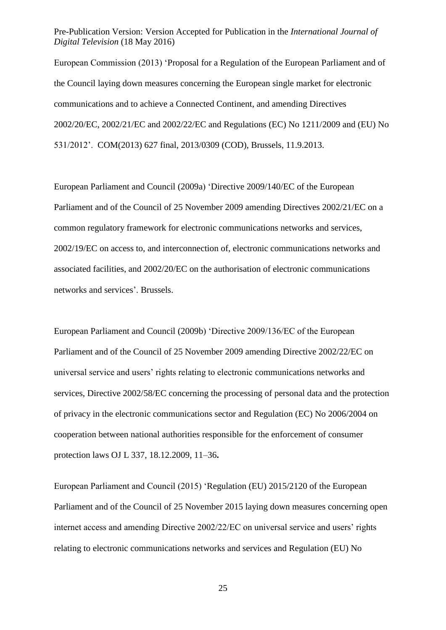European Commission (2013) 'Proposal for a Regulation of the European Parliament and of the Council laying down measures concerning the European single market for electronic communications and to achieve a Connected Continent, and amending Directives 2002/20/EC, 2002/21/EC and 2002/22/EC and Regulations (EC) No 1211/2009 and (EU) No 531/2012'. COM(2013) 627 final, 2013/0309 (COD), Brussels, 11.9.2013.

European Parliament and Council (2009a) 'Directive 2009/140/EC of the European Parliament and of the Council of 25 November 2009 amending Directives 2002/21/EC on a common regulatory framework for electronic communications networks and services, 2002/19/EC on access to, and interconnection of, electronic communications networks and associated facilities, and 2002/20/EC on the authorisation of electronic communications networks and services'. Brussels.

European Parliament and Council (2009b) 'Directive 2009/136/EC of the European Parliament and of the Council of 25 November 2009 amending Directive 2002/22/EC on universal service and users' rights relating to electronic communications networks and services, Directive 2002/58/EC concerning the processing of personal data and the protection of privacy in the electronic communications sector and Regulation (EC) No 2006/2004 on cooperation between national authorities responsible for the enforcement of consumer protection laws OJ L 337, 18.12.2009, 11–36**.**

European Parliament and Council (2015) 'Regulation (EU) 2015/2120 of the European Parliament and of the Council of 25 November 2015 laying down measures concerning open internet access and amending Directive 2002/22/EC on universal service and users' rights relating to electronic communications networks and services and Regulation (EU) No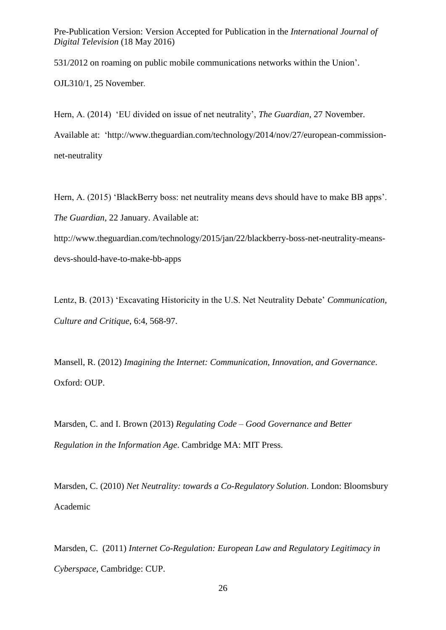531/2012 on roaming on public mobile communications networks within the Union'.

OJL310/1, 25 November.

Hern, A. (2014) 'EU divided on issue of net neutrality', *The Guardian*, 27 November. Available at: 'http://www.theguardian.com/technology/2014/nov/27/european-commissionnet-neutrality

Hern, A. (2015) 'BlackBerry boss: net neutrality means devs should have to make BB apps'. *The Guardian,* 22 January. Available at:

http://www.theguardian.com/technology/2015/jan/22/blackberry-boss-net-neutrality-meansdevs-should-have-to-make-bb-apps

Lentz, B. (2013) 'Excavating Historicity in the U.S. Net Neutrality Debate' *Communication, Culture and Critique*, 6:4, 568-97.

Mansell, R. (2012) *Imagining the Internet: Communication, Innovation, and Governance*. Oxford: OUP.

Marsden, C. and I. Brown (2013) *Regulating Code – Good Governance and Better Regulation in the Information Age*. Cambridge MA: MIT Press.

Marsden, C. (2010) *Net Neutrality: towards a Co-Regulatory Solution*. London: Bloomsbury Academic

Marsden, C. (2011) *Internet Co-Regulation: European Law and Regulatory Legitimacy in Cyberspace*, Cambridge: CUP.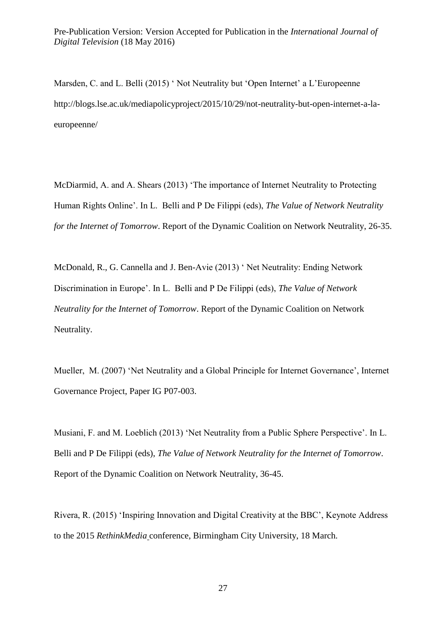Marsden, C. and L. Belli (2015) ' Not Neutrality but 'Open Internet' a L'Europeenne http://blogs.lse.ac.uk/mediapolicyproject/2015/10/29/not-neutrality-but-open-internet-a-laeuropeenne/

McDiarmid, A. and A. Shears (2013) 'The importance of Internet Neutrality to Protecting Human Rights Online'. In L. Belli and P De Filippi (eds), *The Value of Network Neutrality for the Internet of Tomorrow*. Report of the Dynamic Coalition on Network Neutrality, 26-35.

McDonald, R., G. Cannella and J. Ben-Avie (2013) ' Net Neutrality: Ending Network Discrimination in Europe'. In L. Belli and P De Filippi (eds), *The Value of Network Neutrality for the Internet of Tomorrow*. Report of the Dynamic Coalition on Network Neutrality.

Mueller, M. (2007) 'Net Neutrality and a Global Principle for Internet Governance', Internet Governance Project, Paper IG P07-003.

Musiani, F. and M. Loeblich (2013) 'Net Neutrality from a Public Sphere Perspective'. In L. Belli and P De Filippi (eds), *The Value of Network Neutrality for the Internet of Tomorrow*. Report of the Dynamic Coalition on Network Neutrality, 36-45.

Rivera, R. (2015) 'Inspiring Innovation and Digital Creativity at the BBC', Keynote Address to the 2015 *RethinkMedia* conference, Birmingham City University, 18 March.